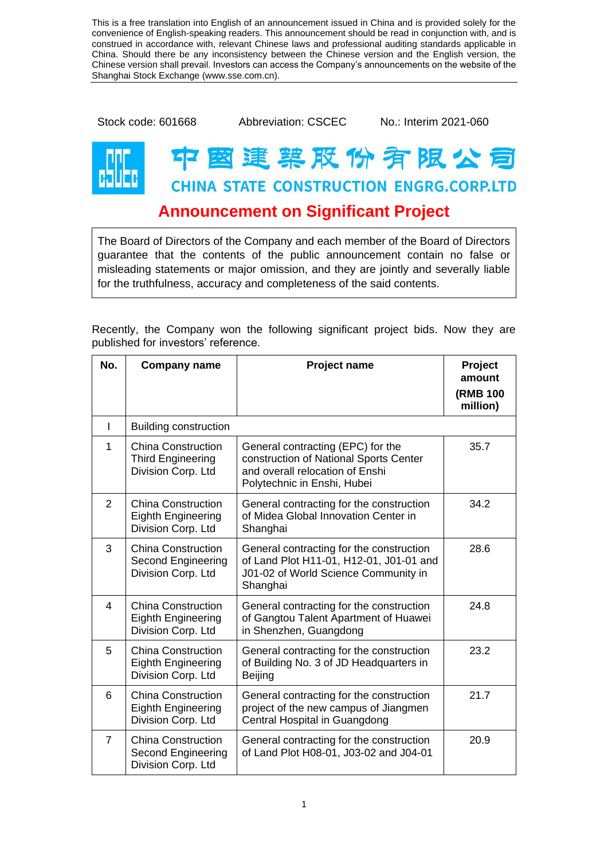This is a free translation into English of an announcement issued in China and is provided solely for the convenience of English-speaking readers. This announcement should be read in conjunction with, and is construed in accordance with, relevant Chinese laws and professional auditing standards applicable in China. Should there be any inconsistency between the Chinese version and the English version, the Chinese version shall prevail. Investors can access the Company's announcements on the website of the Shanghai Stock Exchange (www.sse.com.cn).

Stock code: 601668 Abbreviation: CSCEC No.: Interim 2021-060

## 图 建 菜 股 份 有 限 公 司 **CHINA STATE CONSTRUCTION ENGRG.CORP.LTD**

## **Announcement on Significant Project**

The Board of Directors of the Company and each member of the Board of Directors guarantee that the contents of the public announcement contain no false or misleading statements or major omission, and they are jointly and severally liable for the truthfulness, accuracy and completeness of the said contents.

Recently, the Company won the following significant project bids. Now they are published for investors' reference.

| No.            | <b>Company name</b>                                                          | <b>Project name</b>                                                                                                                           | Project<br>amount<br><b>(RMB 100</b><br>million) |
|----------------|------------------------------------------------------------------------------|-----------------------------------------------------------------------------------------------------------------------------------------------|--------------------------------------------------|
| $\mathsf{l}$   | <b>Building construction</b>                                                 |                                                                                                                                               |                                                  |
| 1              | <b>China Construction</b><br><b>Third Engineering</b><br>Division Corp. Ltd  | General contracting (EPC) for the<br>construction of National Sports Center<br>and overall relocation of Enshi<br>Polytechnic in Enshi, Hubei | 35.7                                             |
| 2              | China Construction<br>Eighth Engineering<br>Division Corp. Ltd               | General contracting for the construction<br>of Midea Global Innovation Center in<br>Shanghai                                                  | 34.2                                             |
| 3              | <b>China Construction</b><br>Second Engineering<br>Division Corp. Ltd        | General contracting for the construction<br>of Land Plot H11-01, H12-01, J01-01 and<br>J01-02 of World Science Community in<br>Shanghai       | 28.6                                             |
| 4              | <b>China Construction</b><br><b>Eighth Engineering</b><br>Division Corp. Ltd | General contracting for the construction<br>of Gangtou Talent Apartment of Huawei<br>in Shenzhen, Guangdong                                   | 24.8                                             |
| 5              | <b>China Construction</b><br><b>Eighth Engineering</b><br>Division Corp. Ltd | General contracting for the construction<br>of Building No. 3 of JD Headquarters in<br>Beijing                                                | 23.2                                             |
| 6              | <b>China Construction</b><br><b>Eighth Engineering</b><br>Division Corp. Ltd | General contracting for the construction<br>project of the new campus of Jiangmen<br>Central Hospital in Guangdong                            | 21.7                                             |
| $\overline{7}$ | <b>China Construction</b><br>Second Engineering<br>Division Corp. Ltd        | General contracting for the construction<br>of Land Plot H08-01, J03-02 and J04-01                                                            | 20.9                                             |